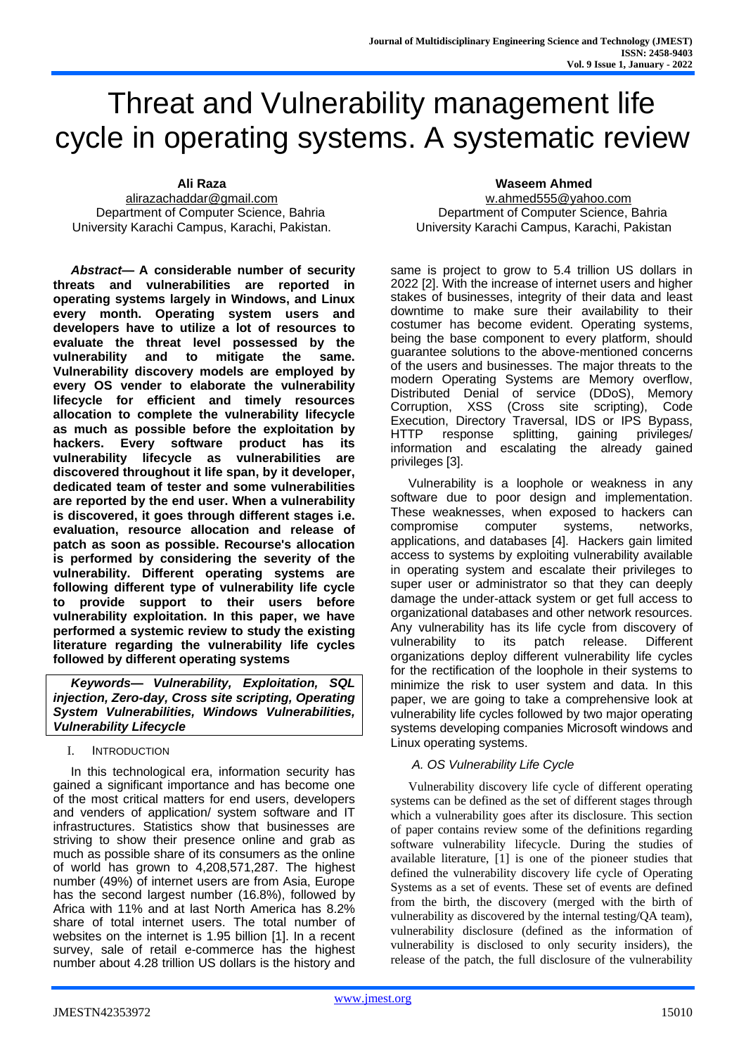# Threat and Vulnerability management life cycle in operating systems. A systematic review

**Ali Raza** [alirazachaddar@gmail.com](mailto:alirazachaddar@gmail.com) Department of Computer Science, Bahria University Karachi Campus, Karachi, Pakistan.

*Abstract***— A considerable number of security threats and vulnerabilities are reported in operating systems largely in Windows, and Linux every month. Operating system users and developers have to utilize a lot of resources to evaluate the threat level possessed by the vulnerability and to mitigate the same. Vulnerability discovery models are employed by every OS vender to elaborate the vulnerability lifecycle for efficient and timely resources allocation to complete the vulnerability lifecycle as much as possible before the exploitation by hackers. Every software product has its vulnerability lifecycle as vulnerabilities are discovered throughout it life span, by it developer, dedicated team of tester and some vulnerabilities are reported by the end user. When a vulnerability is discovered, it goes through different stages i.e. evaluation, resource allocation and release of patch as soon as possible. Recourse's allocation is performed by considering the severity of the vulnerability. Different operating systems are following different type of vulnerability life cycle to provide support to their users before vulnerability exploitation. In this paper, we have performed a systemic review to study the existing literature regarding the vulnerability life cycles followed by different operating systems**

*Keywords— Vulnerability, Exploitation, SQL injection, Zero-day, Cross site scripting, Operating System Vulnerabilities, Windows Vulnerabilities, Vulnerability Lifecycle*

## I. INTRODUCTION

In this technological era, information security has gained a significant importance and has become one of the most critical matters for end users, developers and venders of application/ system software and IT infrastructures. Statistics show that businesses are striving to show their presence online and grab as much as possible share of its consumers as the online of world has grown to 4,208,571,287. The highest number (49%) of internet users are from Asia, Europe has the second largest number (16.8%), followed by Africa with 11% and at last North America has 8.2% share of total internet users. The total number of websites on the internet is 1.95 billion [1]. In a recent survey, sale of retail e-commerce has the highest number about 4.28 trillion US dollars is the history and

#### **Waseem Ahmed**

[w.ahmed555@yahoo.com](mailto:w.ahmed555@yahoo.com) Department of Computer Science, Bahria University Karachi Campus, Karachi, Pakistan

same is project to grow to 5.4 trillion US dollars in 2022 [2]. With the increase of internet users and higher stakes of businesses, integrity of their data and least downtime to make sure their availability to their costumer has become evident. Operating systems, being the base component to every platform, should guarantee solutions to the above-mentioned concerns of the users and businesses. The major threats to the modern Operating Systems are Memory overflow, Distributed Denial of service (DDoS), Memory Corruption, XSS (Cross site scripting), Code Execution, Directory Traversal, IDS or IPS Bypass, HTTP response splitting, gaining privileges/ information and escalating the already gained privileges [3].

Vulnerability is a loophole or weakness in any software due to poor design and implementation. These weaknesses, when exposed to hackers can compromise computer systems, networks, applications, and databases [4]. Hackers gain limited access to systems by exploiting vulnerability available in operating system and escalate their privileges to super user or administrator so that they can deeply damage the under-attack system or get full access to organizational databases and other network resources. Any vulnerability has its life cycle from discovery of vulnerability to its patch release. Different organizations deploy different vulnerability life cycles for the rectification of the loophole in their systems to minimize the risk to user system and data. In this paper, we are going to take a comprehensive look at vulnerability life cycles followed by two major operating systems developing companies Microsoft windows and Linux operating systems.

## *A. OS Vulnerability Life Cycle*

Vulnerability discovery life cycle of different operating systems can be defined as the set of different stages through which a vulnerability goes after its disclosure. This section of paper contains review some of the definitions regarding software vulnerability lifecycle. During the studies of available literature, [1] is one of the pioneer studies that defined the vulnerability discovery life cycle of Operating Systems as a set of events. These set of events are defined from the birth, the discovery (merged with the birth of vulnerability as discovered by the internal testing/QA team), vulnerability disclosure (defined as the information of vulnerability is disclosed to only security insiders), the release of the patch, the full disclosure of the vulnerability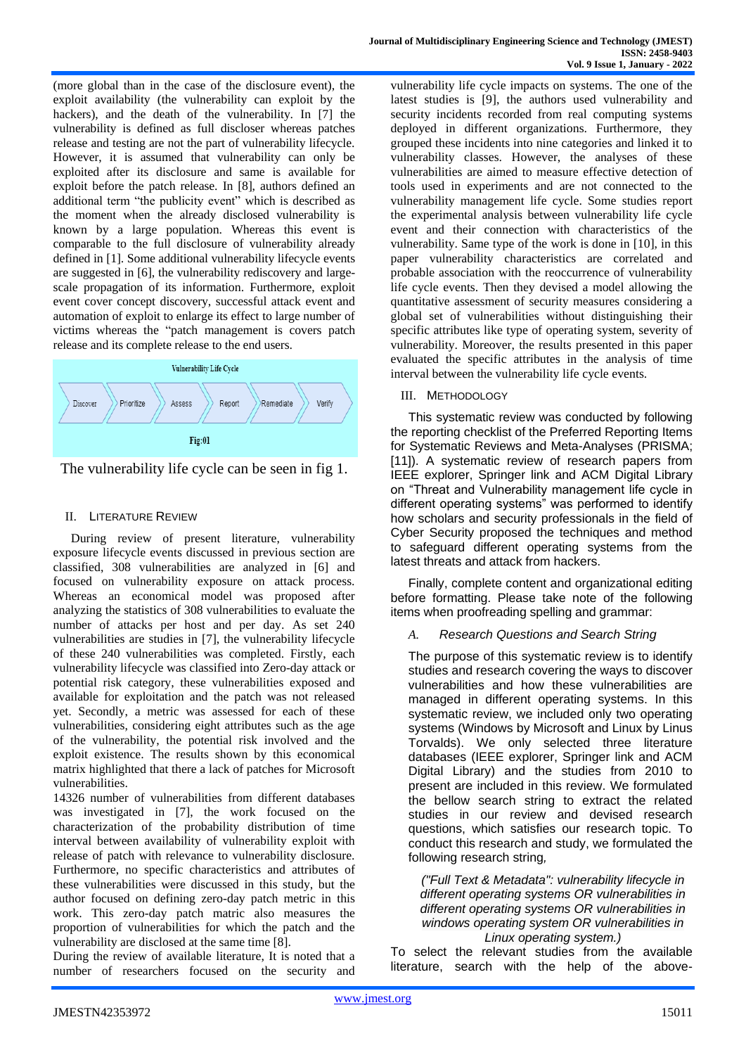(more global than in the case of the disclosure event), the exploit availability (the vulnerability can exploit by the hackers), and the death of the vulnerability. In [7] the vulnerability is defined as full discloser whereas patches release and testing are not the part of vulnerability lifecycle. However, it is assumed that vulnerability can only be exploited after its disclosure and same is available for exploit before the patch release. In [8], authors defined an additional term "the publicity event" which is described as the moment when the already disclosed vulnerability is known by a large population. Whereas this event is comparable to the full disclosure of vulnerability already defined in [1]. Some additional vulnerability lifecycle events are suggested in [6], the vulnerability rediscovery and largescale propagation of its information. Furthermore, exploit event cover concept discovery, successful attack event and automation of exploit to enlarge its effect to large number of victims whereas the "patch management is covers patch release and its complete release to the end users.



The vulnerability life cycle can be seen in fig 1.

## II. LITERATURE REVIEW

During review of present literature, vulnerability exposure lifecycle events discussed in previous section are classified, 308 vulnerabilities are analyzed in [6] and focused on vulnerability exposure on attack process. Whereas an economical model was proposed after analyzing the statistics of 308 vulnerabilities to evaluate the number of attacks per host and per day. As set 240 vulnerabilities are studies in [7], the vulnerability lifecycle of these 240 vulnerabilities was completed. Firstly, each vulnerability lifecycle was classified into Zero-day attack or potential risk category, these vulnerabilities exposed and available for exploitation and the patch was not released yet. Secondly, a metric was assessed for each of these vulnerabilities, considering eight attributes such as the age of the vulnerability, the potential risk involved and the exploit existence. The results shown by this economical matrix highlighted that there a lack of patches for Microsoft vulnerabilities.

14326 number of vulnerabilities from different databases was investigated in [7], the work focused on the characterization of the probability distribution of time interval between availability of vulnerability exploit with release of patch with relevance to vulnerability disclosure. Furthermore, no specific characteristics and attributes of these vulnerabilities were discussed in this study, but the author focused on defining zero-day patch metric in this work. This zero-day patch matric also measures the proportion of vulnerabilities for which the patch and the vulnerability are disclosed at the same time [8].

During the review of available literature, It is noted that a number of researchers focused on the security and vulnerability life cycle impacts on systems. The one of the latest studies is [9], the authors used vulnerability and security incidents recorded from real computing systems deployed in different organizations. Furthermore, they grouped these incidents into nine categories and linked it to vulnerability classes. However, the analyses of these vulnerabilities are aimed to measure effective detection of tools used in experiments and are not connected to the vulnerability management life cycle. Some studies report the experimental analysis between vulnerability life cycle event and their connection with characteristics of the vulnerability. Same type of the work is done in [10], in this paper vulnerability characteristics are correlated and probable association with the reoccurrence of vulnerability life cycle events. Then they devised a model allowing the quantitative assessment of security measures considering a global set of vulnerabilities without distinguishing their specific attributes like type of operating system, severity of vulnerability. Moreover, the results presented in this paper evaluated the specific attributes in the analysis of time interval between the vulnerability life cycle events.

## III. METHODOLOGY

This systematic review was conducted by following the reporting checklist of the Preferred Reporting Items for Systematic Reviews and Meta-Analyses (PRISMA; [11]). A systematic review of research papers from IEEE explorer, Springer link and ACM Digital Library on "Threat and Vulnerability management life cycle in different operating systems" was performed to identify how scholars and security professionals in the field of Cyber Security proposed the techniques and method to safeguard different operating systems from the latest threats and attack from hackers.

Finally, complete content and organizational editing before formatting. Please take note of the following items when proofreading spelling and grammar:

## *A. Research Questions and Search String*

The purpose of this systematic review is to identify studies and research covering the ways to discover vulnerabilities and how these vulnerabilities are managed in different operating systems. In this systematic review, we included only two operating systems (Windows by Microsoft and Linux by Linus Torvalds). We only selected three literature databases (IEEE explorer, Springer link and ACM Digital Library) and the studies from 2010 to present are included in this review. We formulated the bellow search string to extract the related studies in our review and devised research questions, which satisfies our research topic. To conduct this research and study, we formulated the following research string*,*

## *("Full Text & Metadata": vulnerability lifecycle in different operating systems OR vulnerabilities in different operating systems OR vulnerabilities in windows operating system OR vulnerabilities in Linux operating system.)*

To select the relevant studies from the available literature, search with the help of the above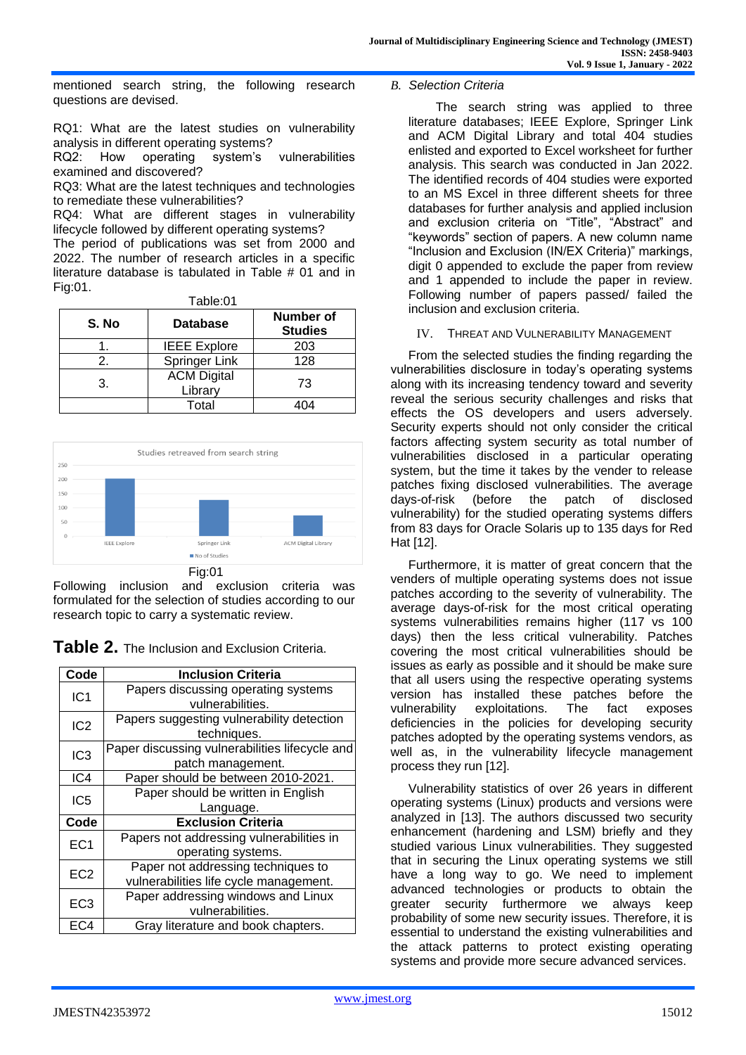mentioned search string, the following research questions are devised.

RQ1: What are the latest studies on vulnerability analysis in different operating systems?

RQ2: How operating system's vulnerabilities examined and discovered?

RQ3: What are the latest techniques and technologies to remediate these vulnerabilities?

RQ4: What are different stages in vulnerability lifecycle followed by different operating systems?

The period of publications was set from 2000 and 2022. The number of research articles in a specific literature database is tabulated in Table # 01 and in Fig:01.

| S. No         | Table:01<br><b>Database</b>   | <b>Number of</b><br><b>Studies</b> |
|---------------|-------------------------------|------------------------------------|
|               | <b>IEEE Explore</b>           | 203                                |
| $\mathcal{P}$ | Springer Link                 | 128                                |
| 3.            | <b>ACM Digital</b><br>Library | 73                                 |
|               | Total                         | 404                                |



Following inclusion and exclusion criteria was formulated for the selection of studies according to our research topic to carry a systematic review.

**Table 2.** The Inclusion and Exclusion Criteria.

| Code            | <b>Inclusion Criteria</b>                      |  |
|-----------------|------------------------------------------------|--|
| IC <sub>1</sub> | Papers discussing operating systems            |  |
|                 | vulnerabilities.                               |  |
| IC <sub>2</sub> | Papers suggesting vulnerability detection      |  |
|                 | techniques.                                    |  |
| IC <sub>3</sub> | Paper discussing vulnerabilities lifecycle and |  |
|                 | patch management.                              |  |
| IC4             | Paper should be between 2010-2021.             |  |
| IC <sub>5</sub> | Paper should be written in English             |  |
|                 | Language.                                      |  |
| Code            | <b>Exclusion Criteria</b>                      |  |
| EC <sub>1</sub> | Papers not addressing vulnerabilities in       |  |
|                 | operating systems.                             |  |
| EC <sub>2</sub> | Paper not addressing techniques to             |  |
|                 | vulnerabilities life cycle management.         |  |
| EC <sub>3</sub> | Paper addressing windows and Linux             |  |
|                 | vulnerabilities.                               |  |
| EC4             | Gray literature and book chapters.             |  |

## *B. Selection Criteria*

The search string was applied to three literature databases; IEEE Explore, Springer Link and ACM Digital Library and total 404 studies enlisted and exported to Excel worksheet for further analysis. This search was conducted in Jan 2022. The identified records of 404 studies were exported to an MS Excel in three different sheets for three databases for further analysis and applied inclusion and exclusion criteria on "Title", "Abstract" and "keywords" section of papers. A new column name "Inclusion and Exclusion (IN/EX Criteria)" markings, digit 0 appended to exclude the paper from review and 1 appended to include the paper in review. Following number of papers passed/ failed the inclusion and exclusion criteria.

## IV. THREAT AND VULNERABILITY MANAGEMENT

From the selected studies the finding regarding the vulnerabilities disclosure in today's operating systems along with its increasing tendency toward and severity reveal the serious security challenges and risks that effects the OS developers and users adversely. Security experts should not only consider the critical factors affecting system security as total number of vulnerabilities disclosed in a particular operating system, but the time it takes by the vender to release patches fixing disclosed vulnerabilities. The average days-of-risk (before the patch of disclosed vulnerability) for the studied operating systems differs from 83 days for Oracle Solaris up to 135 days for Red Hat [12].

Furthermore, it is matter of great concern that the venders of multiple operating systems does not issue patches according to the severity of vulnerability. The average days-of-risk for the most critical operating systems vulnerabilities remains higher (117 vs 100 days) then the less critical vulnerability. Patches covering the most critical vulnerabilities should be issues as early as possible and it should be make sure that all users using the respective operating systems version has installed these patches before the<br>vulnerability exploitations. The fact exposes vulnerability exploitations. The fact exposes deficiencies in the policies for developing security patches adopted by the operating systems vendors, as well as, in the vulnerability lifecycle management process they run [12].

Vulnerability statistics of over 26 years in different operating systems (Linux) products and versions were analyzed in [13]. The authors discussed two security enhancement (hardening and LSM) briefly and they studied various Linux vulnerabilities. They suggested that in securing the Linux operating systems we still have a long way to go. We need to implement advanced technologies or products to obtain the greater security furthermore we always keep probability of some new security issues. Therefore, it is essential to understand the existing vulnerabilities and the attack patterns to protect existing operating systems and provide more secure advanced services.